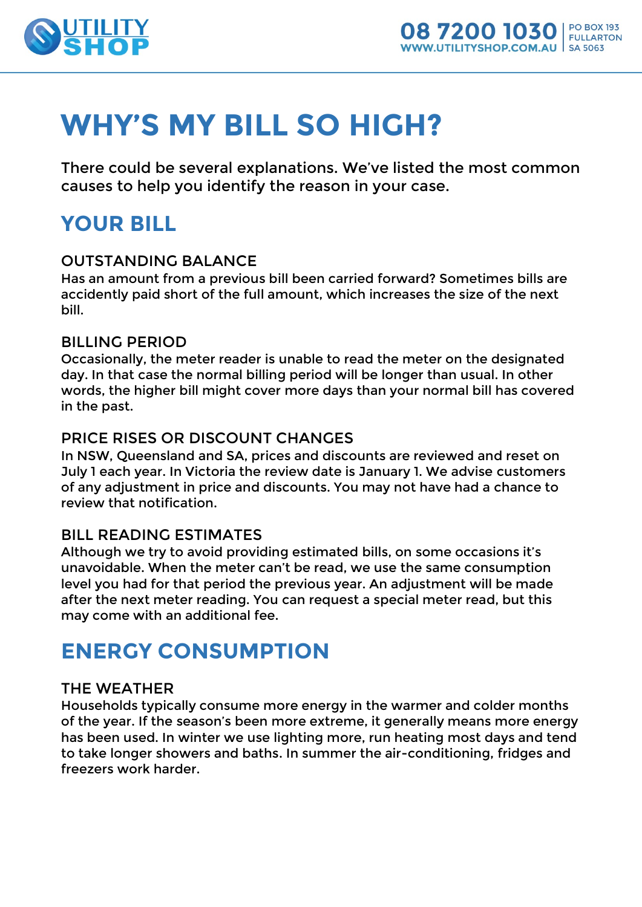

# **WHY'S MY BILL SO HIGH?**

There could be several explanations. We've listed the most common causes to help you identify the reason in your case.

# **YOUR BILL**

## OUTSTANDING BALANCE

Has an amount from a previous bill been carried forward? Sometimes bills are accidently paid short of the full amount, which increases the size of the next bill.

### BILLING PERIOD

Occasionally, the meter reader is unable to read the meter on the designated day. In that case the normal billing period will be longer than usual. In other words, the higher bill might cover more days than your normal bill has covered in the past.

### PRICE RISES OR DISCOUNT CHANGES

In NSW, Queensland and SA, prices and discounts are reviewed and reset on July 1 each year. In Victoria the review date is January 1. We advise customers of any adjustment in price and discounts. You may not have had a chance to review that notification.

### BILL READING ESTIMATES

Although we try to avoid providing estimated bills, on some occasions it's unavoidable. When the meter can't be read, we use the same consumption level you had for that period the previous year. An adjustment will be made after the next meter reading. You can request a special meter read, but this may come with an additional fee.

# **ENERGY CONSUMPTION**

## THE WEATHER

Households typically consume more energy in the warmer and colder months of the year. If the season's been more extreme, it generally means more energy has been used. In winter we use lighting more, run heating most days and tend to take longer showers and baths. In summer the air-conditioning, fridges and freezers work harder.